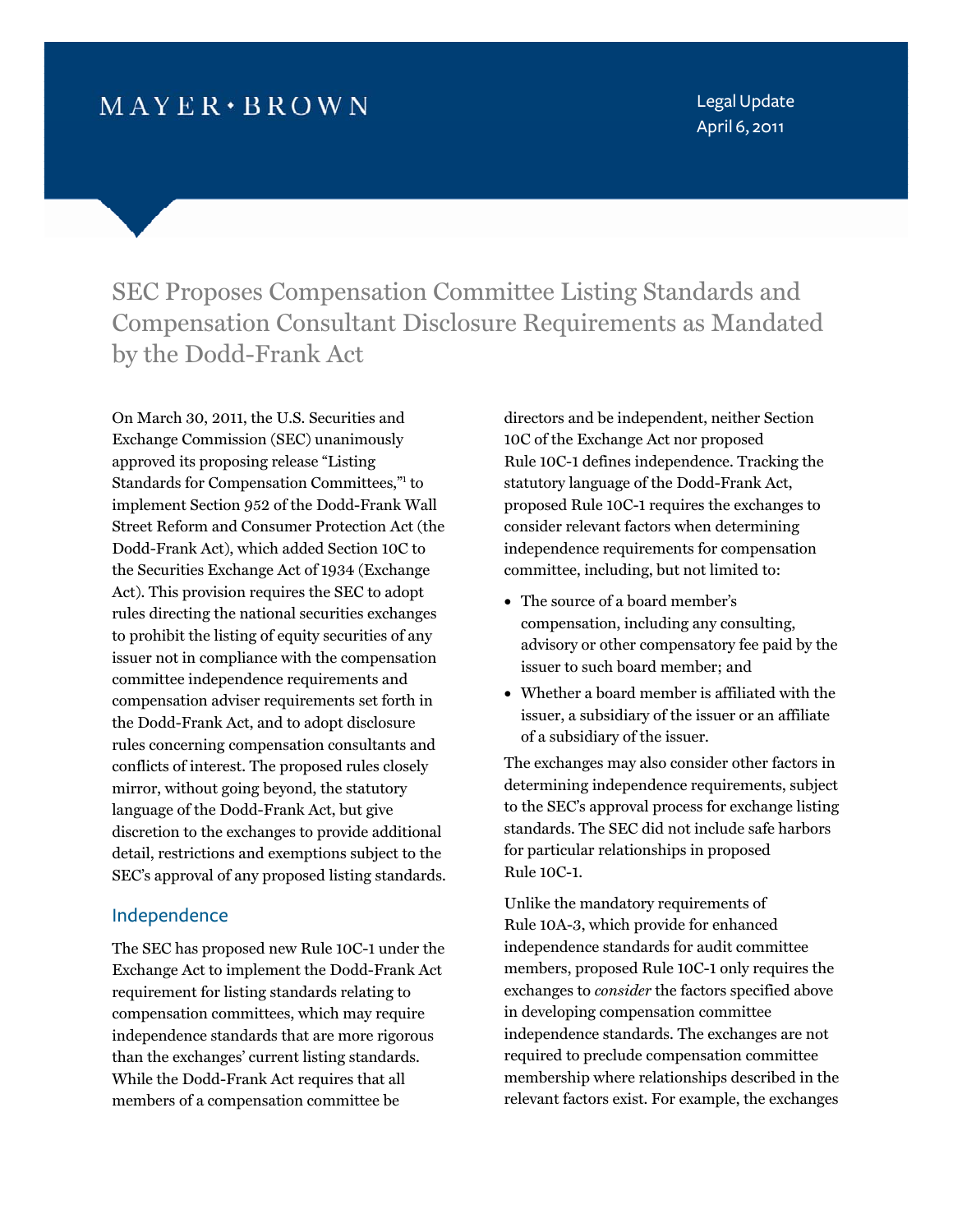# $M$  AYER  $\cdot$  BROWN

Legal Update April 6, 2011

SEC Proposes Compensation Committee Listing Standards and Compensation Consultant Disclosure Requirements as Mandated by the Dodd-Frank Act

On March 30, 2011, the U.S. Securities and Exchange Commission (SEC) unanimously approved its proposing release "Listing Standards for Compensation Committee[s,"1](#page-4-0) to implement Section 952 of the Dodd-Frank Wall Street Reform and Consumer Protection Act (the Dodd-Frank Act), which added Section 10C to the Securities Exchange Act of 1934 (Exchange Act). This provision requires the SEC to adopt rules directing the national securities exchanges to prohibit the listing of equity securities of any issuer not in compliance with the compensation committee independence requirements and compensation adviser requirements set forth in the Dodd-Frank Act, and to adopt disclosure rules concerning compensation consultants and conflicts of interest. The proposed rules closely mirror, without going beyond, the statutory language of the Dodd-Frank Act, but give discretion to the exchanges to provide additional detail, restrictions and exemptions subject to the SEC's approval of any proposed listing standards.

#### Independence

The SEC has proposed new Rule 10C-1 under the Exchange Act to implement the Dodd-Frank Act requirement for listing standards relating to compensation committees, which may require independence standards that are more rigorous than the exchanges' current listing standards. While the Dodd-Frank Act requires that all members of a compensation committee be

directors and be independent, neither Section 10C of the Exchange Act nor proposed Rule 10C-1 defines independence. Tracking the statutory language of the Dodd-Frank Act, proposed Rule 10C-1 requires the exchanges to consider relevant factors when determining independence requirements for compensation committee, including, but not limited to:

- The source of a board member's compensation, including any consulting, advisory or other compensatory fee paid by the issuer to such board member; and
- Whether a board member is affiliated with the issuer, a subsidiary of the issuer or an affiliate of a subsidiary of the issuer.

The exchanges may also consider other factors in determining independence requirements, subject to the SEC's approval process for exchange listing standards. The SEC did not include safe harbors for particular relationships in proposed Rule 10C-1.

Unlike the mandatory requirements of Rule 10A-3, which provide for enhanced independence standards for audit committee members, proposed Rule 10C-1 only requires the exchanges to *consider* the factors specified above in developing compensation committee independence standards. The exchanges are not required to preclude compensation committee membership where relationships described in the relevant factors exist. For example, the exchanges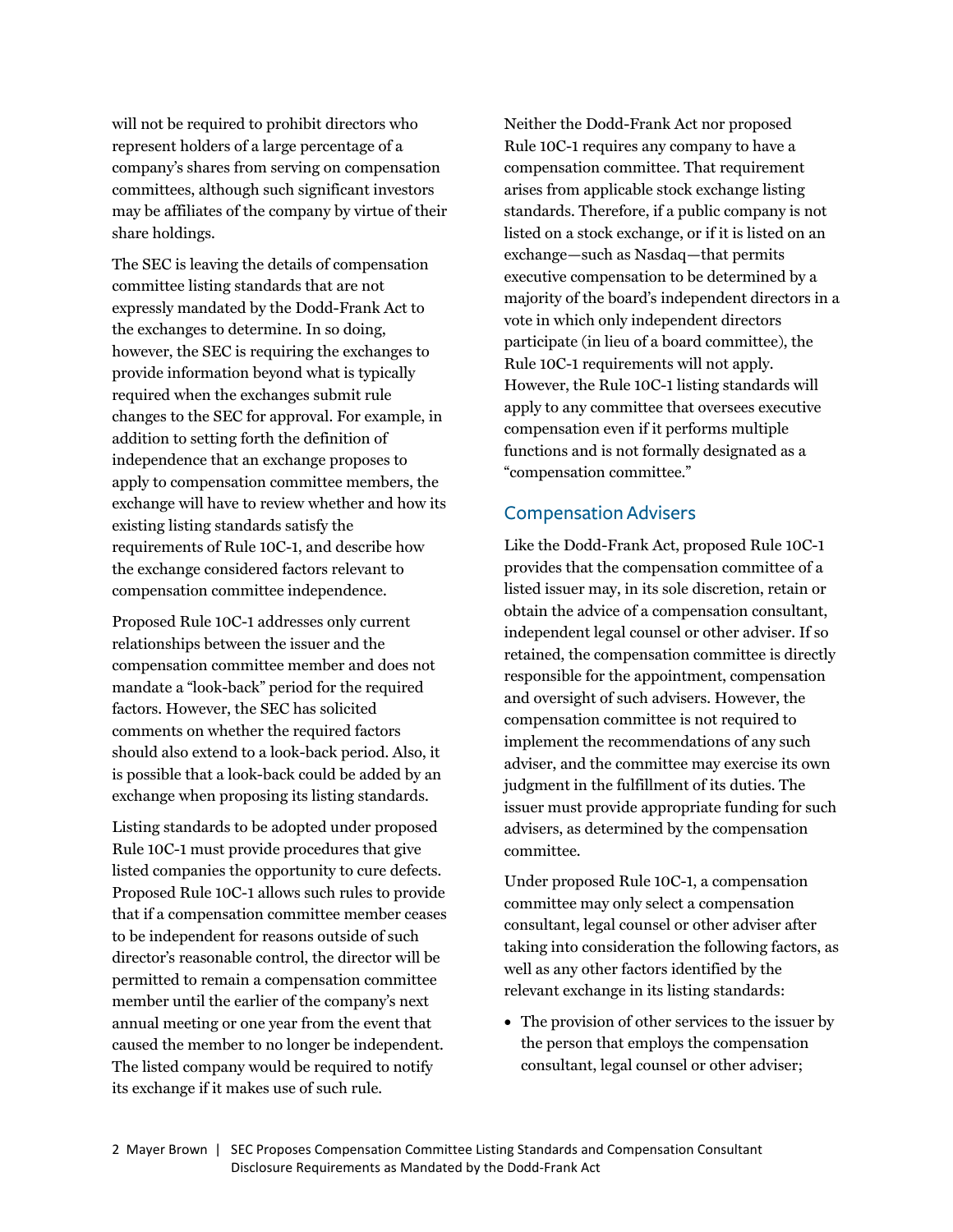will not be required to prohibit directors who represent holders of a large percentage of a company's shares from serving on compensation committees, although such significant investors may be affiliates of the company by virtue of their share holdings.

The SEC is leaving the details of compensation committee listing standards that are not expressly mandated by the Dodd-Frank Act to the exchanges to determine. In so doing, however, the SEC is requiring the exchanges to provide information beyond what is typically required when the exchanges submit rule changes to the SEC for approval. For example, in addition to setting forth the definition of independence that an exchange proposes to apply to compensation committee members, the exchange will have to review whether and how its existing listing standards satisfy the requirements of Rule 10C-1, and describe how the exchange considered factors relevant to compensation committee independence.

Proposed Rule 10C-1 addresses only current relationships between the issuer and the compensation committee member and does not mandate a "look-back" period for the required factors. However, the SEC has solicited comments on whether the required factors should also extend to a look-back period. Also, it is possible that a look-back could be added by an exchange when proposing its listing standards.

Listing standards to be adopted under proposed Rule 10C-1 must provide procedures that give listed companies the opportunity to cure defects. Proposed Rule 10C-1 allows such rules to provide that if a compensation committee member ceases to be independent for reasons outside of such director's reasonable control, the director will be permitted to remain a compensation committee member until the earlier of the company's next annual meeting or one year from the event that caused the member to no longer be independent. The listed company would be required to notify its exchange if it makes use of such rule.

Neither the Dodd-Frank Act nor proposed Rule 10C-1 requires any company to have a compensation committee. That requirement arises from applicable stock exchange listing standards. Therefore, if a public company is not listed on a stock exchange, or if it is listed on an exchange—such as Nasdaq—that permits executive compensation to be determined by a majority of the board's independent directors in a vote in which only independent directors participate (in lieu of a board committee), the Rule 10C-1 requirements will not apply. However, the Rule 10C-1 listing standards will apply to any committee that oversees executive compensation even if it performs multiple functions and is not formally designated as a "compensation committee."

#### Compensation Advisers

Like the Dodd-Frank Act, proposed Rule 10C-1 provides that the compensation committee of a listed issuer may, in its sole discretion, retain or obtain the advice of a compensation consultant, independent legal counsel or other adviser. If so retained, the compensation committee is directly responsible for the appointment, compensation and oversight of such advisers. However, the compensation committee is not required to implement the recommendations of any such adviser, and the committee may exercise its own judgment in the fulfillment of its duties. The issuer must provide appropriate funding for such advisers, as determined by the compensation committee.

Under proposed Rule 10C-1, a compensation committee may only select a compensation consultant, legal counsel or other adviser after taking into consideration the following factors, as well as any other factors identified by the relevant exchange in its listing standards:

• The provision of other services to the issuer by the person that employs the compensation consultant, legal counsel or other adviser;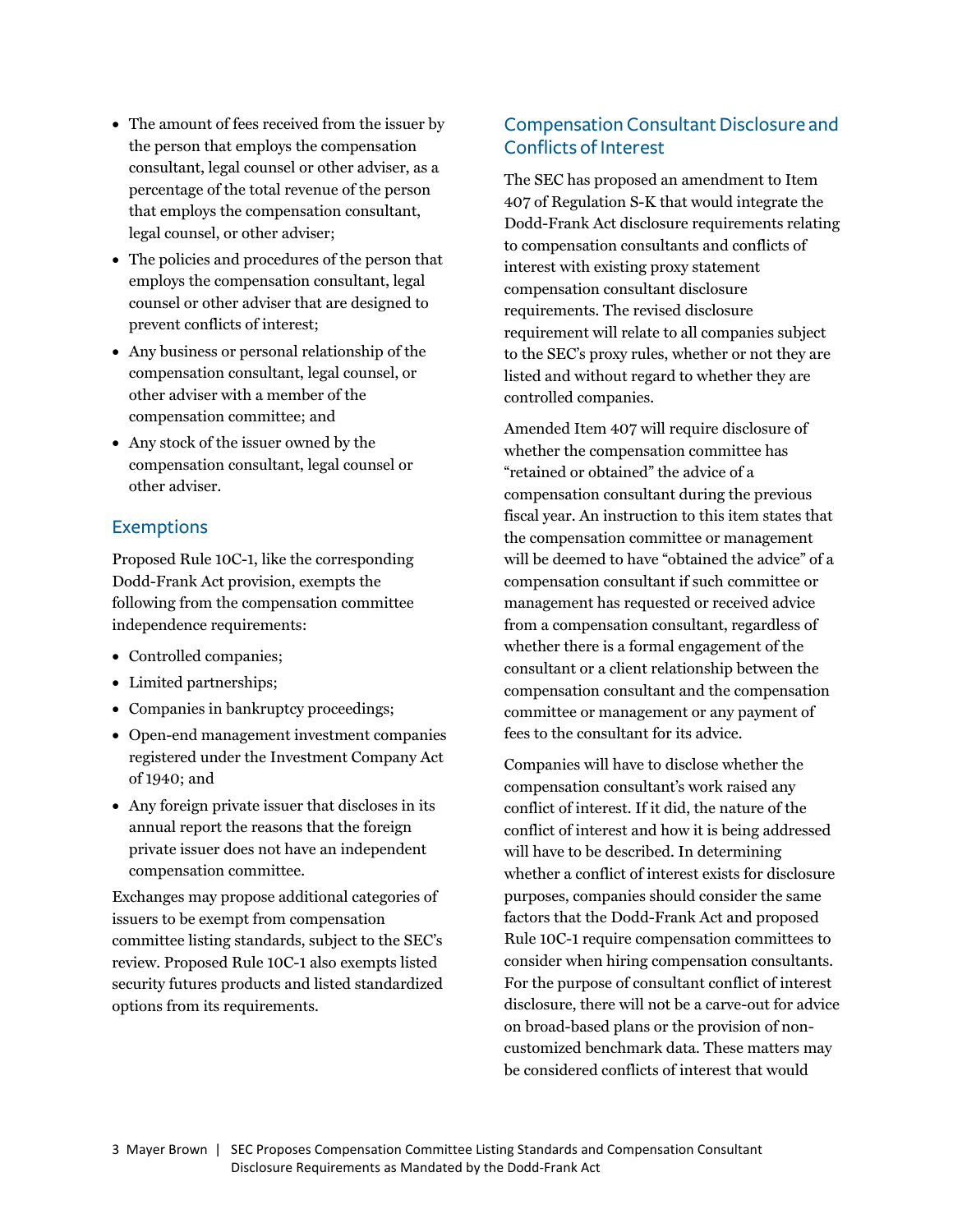- The amount of fees received from the issuer by the person that employs the compensation consultant, legal counsel or other adviser, as a percentage of the total revenue of the person that employs the compensation consultant, legal counsel, or other adviser;
- The policies and procedures of the person that employs the compensation consultant, legal counsel or other adviser that are designed to prevent conflicts of interest;
- Any business or personal relationship of the compensation consultant, legal counsel, or other adviser with a member of the compensation committee; and
- Any stock of the issuer owned by the compensation consultant, legal counsel or other adviser.

## Exemptions

Proposed Rule 10C-1, like the corresponding Dodd-Frank Act provision, exempts the following from the compensation committee independence requirements:

- Controlled companies;
- Limited partnerships;
- Companies in bankruptcy proceedings;
- Open-end management investment companies registered under the Investment Company Act of 1940; and
- Any foreign private issuer that discloses in its annual report the reasons that the foreign private issuer does not have an independent compensation committee.

Exchanges may propose additional categories of issuers to be exempt from compensation committee listing standards, subject to the SEC's review. Proposed Rule 10C-1 also exempts listed security futures products and listed standardized options from its requirements.

## Compensation Consultant Disclosure and Conflicts of Interest

The SEC has proposed an amendment to Item 407 of Regulation S-K that would integrate the Dodd-Frank Act disclosure requirements relating to compensation consultants and conflicts of interest with existing proxy statement compensation consultant disclosure requirements. The revised disclosure requirement will relate to all companies subject to the SEC's proxy rules, whether or not they are listed and without regard to whether they are controlled companies.

Amended Item 407 will require disclosure of whether the compensation committee has "retained or obtained" the advice of a compensation consultant during the previous fiscal year. An instruction to this item states that the compensation committee or management will be deemed to have "obtained the advice" of a compensation consultant if such committee or management has requested or received advice from a compensation consultant, regardless of whether there is a formal engagement of the consultant or a client relationship between the compensation consultant and the compensation committee or management or any payment of fees to the consultant for its advice.

Companies will have to disclose whether the compensation consultant's work raised any conflict of interest. If it did, the nature of the conflict of interest and how it is being addressed will have to be described. In determining whether a conflict of interest exists for disclosure purposes, companies should consider the same factors that the Dodd-Frank Act and proposed Rule 10C-1 require compensation committees to consider when hiring compensation consultants. For the purpose of consultant conflict of interest disclosure, there will not be a carve-out for advice on broad-based plans or the provision of noncustomized benchmark data. These matters may be considered conflicts of interest that would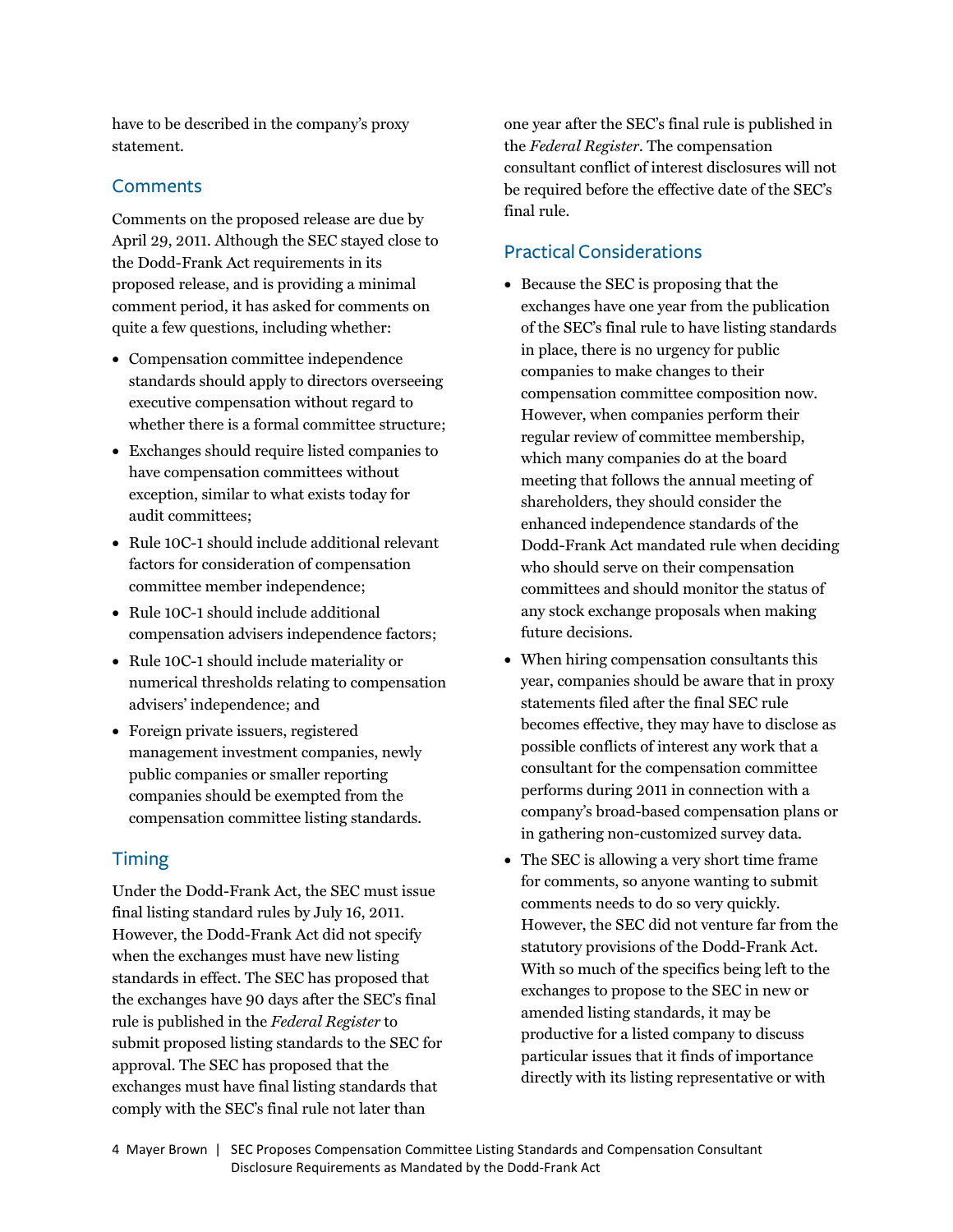have to be described in the company's proxy statement.

### **Comments**

Comments on the proposed release are due by April 29, 2011. Although the SEC stayed close to the Dodd-Frank Act requirements in its proposed release, and is providing a minimal comment period, it has asked for comments on quite a few questions, including whether:

- Compensation committee independence standards should apply to directors overseeing executive compensation without regard to whether there is a formal committee structure;
- Exchanges should require listed companies to have compensation committees without exception, similar to what exists today for audit committees;
- Rule 10C-1 should include additional relevant factors for consideration of compensation committee member independence;
- Rule 10C-1 should include additional compensation advisers independence factors;
- Rule 10C-1 should include materiality or numerical thresholds relating to compensation advisers' independence; and
- Foreign private issuers, registered management investment companies, newly public companies or smaller reporting companies should be exempted from the compensation committee listing standards.

## Timing

Under the Dodd-Frank Act, the SEC must issue final listing standard rules by July 16, 2011. However, the Dodd-Frank Act did not specify when the exchanges must have new listing standards in effect. The SEC has proposed that the exchanges have 90 days after the SEC's final rule is published in the *Federal Register* to submit proposed listing standards to the SEC for approval. The SEC has proposed that the exchanges must have final listing standards that comply with the SEC's final rule not later than

one year after the SEC's final rule is published in the *Federal Register*. The compensation consultant conflict of interest disclosures will not be required before the effective date of the SEC's final rule.

# Practical Considerations

- Because the SEC is proposing that the exchanges have one year from the publication of the SEC's final rule to have listing standards in place, there is no urgency for public companies to make changes to their compensation committee composition now. However, when companies perform their regular review of committee membership, which many companies do at the board meeting that follows the annual meeting of shareholders, they should consider the enhanced independence standards of the Dodd-Frank Act mandated rule when deciding who should serve on their compensation committees and should monitor the status of any stock exchange proposals when making future decisions.
- When hiring compensation consultants this year, companies should be aware that in proxy statements filed after the final SEC rule becomes effective, they may have to disclose as possible conflicts of interest any work that a consultant for the compensation committee performs during 2011 in connection with a company's broad-based compensation plans or in gathering non-customized survey data.
- The SEC is allowing a very short time frame for comments, so anyone wanting to submit comments needs to do so very quickly. However, the SEC did not venture far from the statutory provisions of the Dodd-Frank Act. With so much of the specifics being left to the exchanges to propose to the SEC in new or amended listing standards, it may be productive for a listed company to discuss particular issues that it finds of importance directly with its listing representative or with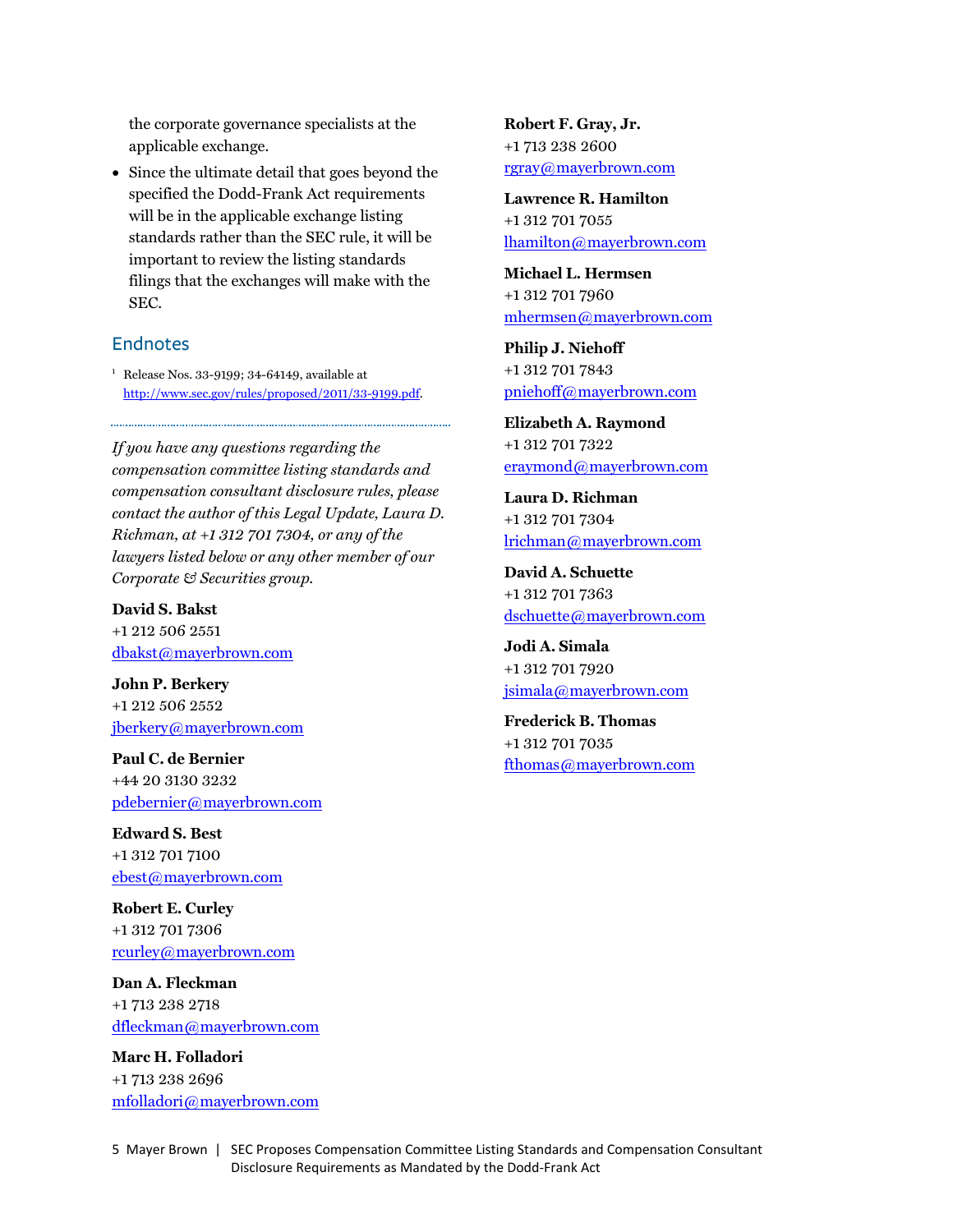<span id="page-4-0"></span>the corporate governance specialists at the applicable exchange.

 Since the ultimate detail that goes beyond the specified the Dodd-Frank Act requirements will be in the applicable exchange listing standards rather than the SEC rule, it will be important to review the listing standards filings that the exchanges will make with the SEC.

## Endnotes

1 Release Nos. 33-9199; 34-64149, available at [http://www.sec.gov/rules/proposed/2011/33-9199.pdf.](http://www.sec.gov/rules/proposed/2011/33-9199.pdf) 

*If you have any questions regarding the compensation committee listing standards and compensation consultant disclosure rules, please contact the author of this Legal Update, Laura D. Richman, at +1 312 701 7304, or any of the lawyers listed below or any other member of our Corporate & Securities group.* 

### **David S. Bakst**

+1 212 506 2551 dbakst@mayerbrown.com

**John P. Berkery** +1 212 506 2552 jberkery@mayerbrown.com

**Paul C. de Bernier** +44 20 3130 3232 pdebernier@mayerbrown.com

**Edward S. Best** +1 312 701 7100 ebest@mayerbrown.com

**Robert E. Curley** +1 312 701 7306 rcurley@mayerbrown.com

**Dan A. Fleckman** +1 713 238 2718 dfleckman@mayerbrown.com

**Marc H. Folladori** +1 713 238 2696 mfolladori@mayerbrown.com **Robert F. Gray, Jr.** +1 713 238 2600 rgray@mayerbrown.com

**Lawrence R. Hamilton** +1 312 701 7055 lhamilton@mayerbrown.com

**Michael L. Hermsen** +1 312 701 7960 mhermsen@mayerbrown.com

**Philip J. Niehoff** +1 312 701 7843 pniehoff@mayerbrown.com

**Elizabeth A. Raymond** +1 312 701 7322 eraymond@mayerbrown.com

**Laura D. Richman** +1 312 701 7304 lrichman@mayerbrown.com

**David A. Schuette** +1 312 701 7363 dschuette@mayerbrown.com

**Jodi A. Simala** +1 312 701 7920 jsimala@mayerbrown.com

**Frederick B. Thomas** +1 312 701 7035 fthomas@mayerbrown.com